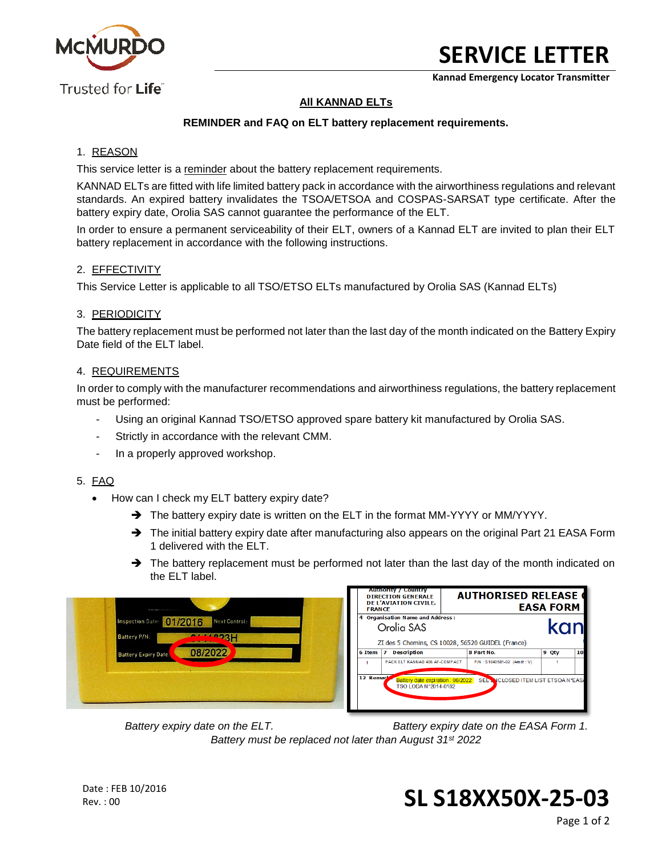

**Kannad Emergency Locator Transmitter**

# **All KANNAD ELTs**

## **REMINDER and FAQ on ELT battery replacement requirements.**

## 1. REASON

This service letter is a reminder about the battery replacement requirements.

KANNAD ELTs are fitted with life limited battery pack in accordance with the airworthiness regulations and relevant standards. An expired battery invalidates the TSOA/ETSOA and COSPAS-SARSAT type certificate. After the battery expiry date, Orolia SAS cannot guarantee the performance of the ELT.

In order to ensure a permanent serviceability of their ELT, owners of a Kannad ELT are invited to plan their ELT battery replacement in accordance with the following instructions.

#### 2. EFFECTIVITY

This Service Letter is applicable to all TSO/ETSO ELTs manufactured by Orolia SAS (Kannad ELTs)

#### 3. PERIODICITY

The battery replacement must be performed not later than the last day of the month indicated on the Battery Expiry Date field of the ELT label.

#### 4. REQUIREMENTS

In order to comply with the manufacturer recommendations and airworthiness regulations, the battery replacement must be performed:

- Using an original Kannad TSO/ETSO approved spare battery kit manufactured by Orolia SAS.
- Strictly in accordance with the relevant CMM.
- In a properly approved workshop.

#### 5. FAQ

- How can I check my ELT battery expiry date?
	- $\rightarrow$  The battery expiry date is written on the ELT in the format MM-YYYY or MM/YYYY.
	- → The initial battery expiry date after manufacturing also appears on the original Part 21 EASA Form 1 delivered with the ELT.
	- $\rightarrow$  The battery replacement must be performed not later than the last day of the month indicated on the ELT label.

| <b>MORE CONSUMERS IN CONTRACT</b>                                       | <b>FRANCE</b>                                                                                              | <b>Authority / Country</b><br><b>DIRECTION GENERALE</b><br><b>DE L'AVIATION CIVILE.</b> |            | <b>AUTHORISED RELEASE C</b>         | <b>EASA FORM</b> |    |
|-------------------------------------------------------------------------|------------------------------------------------------------------------------------------------------------|-----------------------------------------------------------------------------------------|------------|-------------------------------------|------------------|----|
| 01/2016<br>Next Control:<br>Inspection Date:<br>444923H<br>Battery P/N: | 4 Organisation Name and Address:<br>kan<br>Orolia SAS<br>ZI des 5 Chemins, CS 10028, 56520 GUIDEL (France) |                                                                                         |            |                                     |                  |    |
| 08/2022<br><b>Battery Expiry Dates</b>                                  | 6 Item                                                                                                     | Description<br>$\overline{\mathbf{z}}$<br>PACK ELT KANNAD 406 AF-COMPACT                | 8 Part No. | P/N: S1840501-02 (Amdt: V)          | 9 Qty            | 10 |
|                                                                         | 12 Remark                                                                                                  | Battery date expiration : 08/2022<br>TSO LODA N°2014-0182                               |            | SEE NICLOSED ITEM LIST ETSOA N°EASA |                  |    |

*Battery expiry date on the ELT. Battery expiry date on the EASA Form 1. Battery must be replaced not later than August 31st 2022*

Rev. : 00 **SL S18XX50X-25-03**